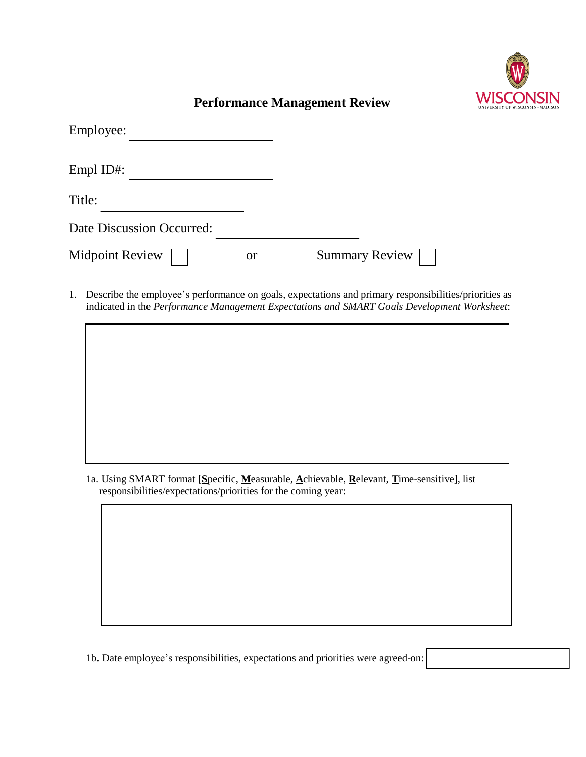

## **Performance Management Review**

| Employee:                 |               |                       |
|---------------------------|---------------|-----------------------|
| Empl ID#:                 |               |                       |
| Title:                    |               |                       |
| Date Discussion Occurred: |               |                       |
| <b>Midpoint Review</b>    | <sub>or</sub> | <b>Summary Review</b> |

1. Describe the employee's performance on goals, expectations and primary responsibilities/priorities as indicated in the *Performance Management Expectations and SMART Goals Development Worksheet*:

1a. Using SMART format [**S**pecific, **M**easurable, **A**chievable, **R**elevant, **T**ime-sensitive], list responsibilities/expectations/priorities for the coming year:

1b. Date employee's responsibilities, expectations and priorities were agreed-on: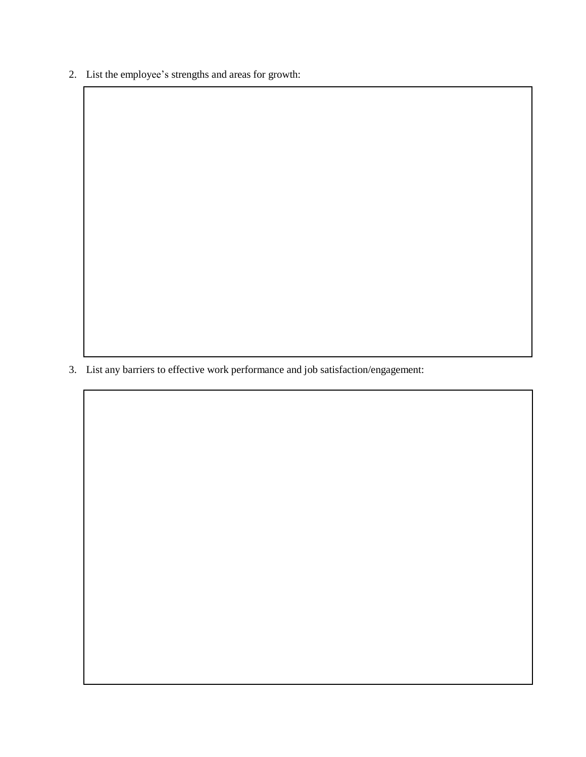2. List the employee's strengths and areas for growth:

3. List any barriers to effective work performance and job satisfaction/engagement: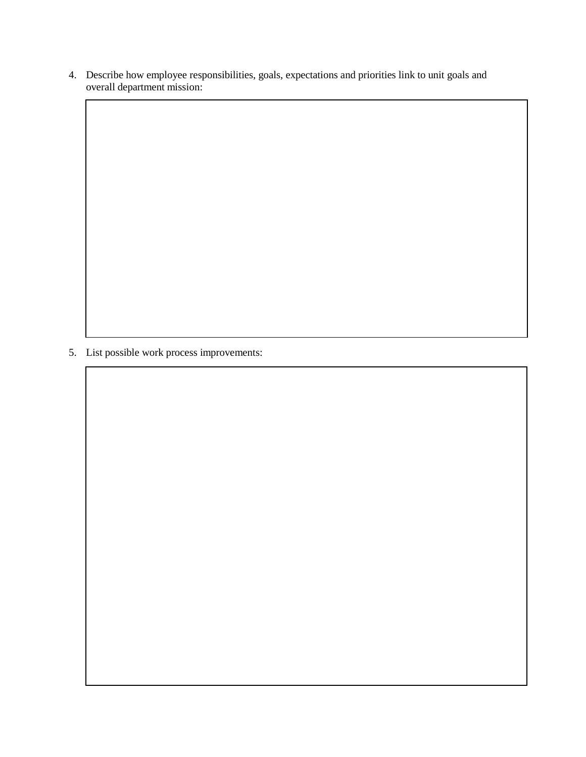4. Describe how employee responsibilities, goals, expectations and priorities link to unit goals and overall department mission:

5. List possible work process improvements: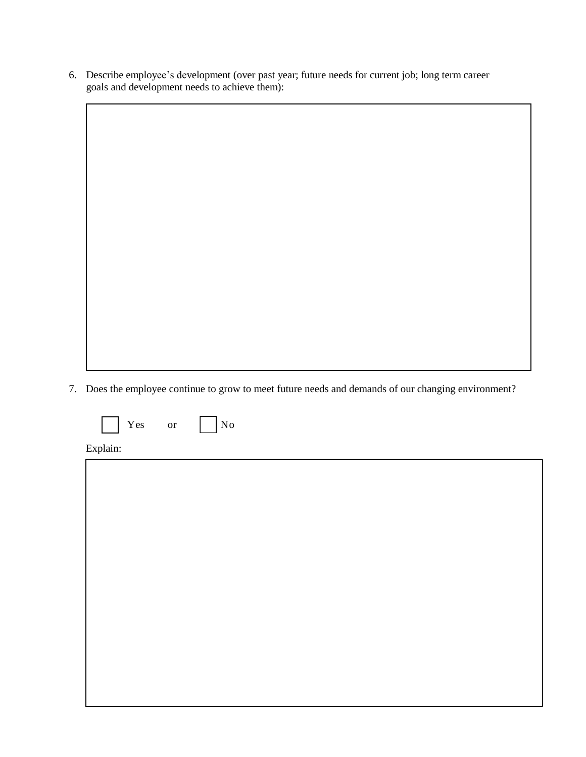6. Describe employee's development (over past year; future needs for current job; long term career goals and development needs to achieve them):

7. Does the employee continue to grow to meet future needs and demands of our changing environment?

|  | - -<br>es<br>Y | ٦r<br>$\sim$ | N٢<br>No |
|--|----------------|--------------|----------|
|--|----------------|--------------|----------|

Explain: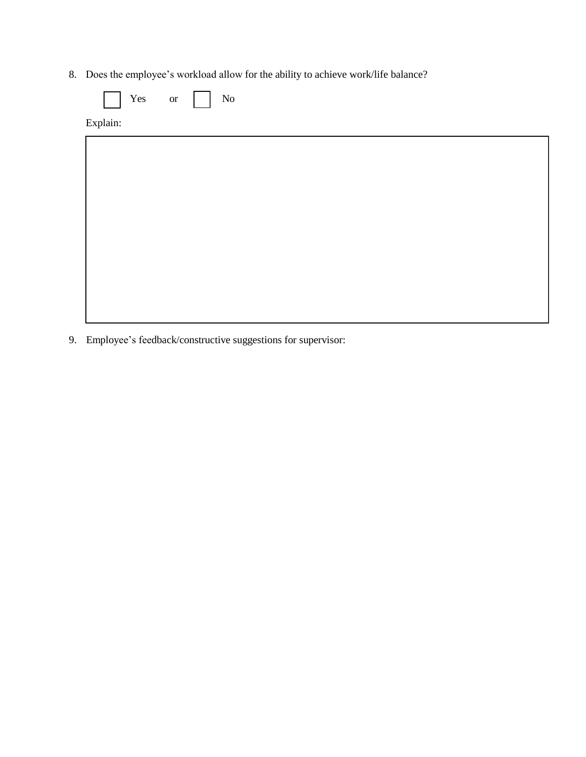8. Does the employee's workload allow for the ability to achieve work/life balance?

| Yes or   | $\rm No$<br>$\mathbf{L}$ |
|----------|--------------------------|
| Explain: |                          |
|          |                          |
|          |                          |
|          |                          |
|          |                          |
|          |                          |
|          |                          |
|          |                          |
|          |                          |
|          |                          |

9. Employee's feedback/constructive suggestions for supervisor: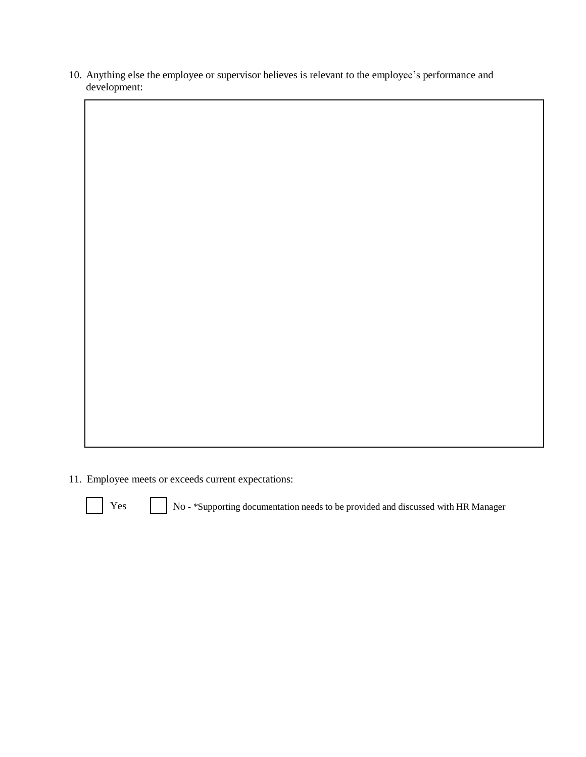10. Anything else the employee or supervisor believes is relevant to the employee's performance and development:

11. Employee meets or exceeds current expectations:



Yes No - \*Supporting documentation needs to be provided and discussed with HR Manager